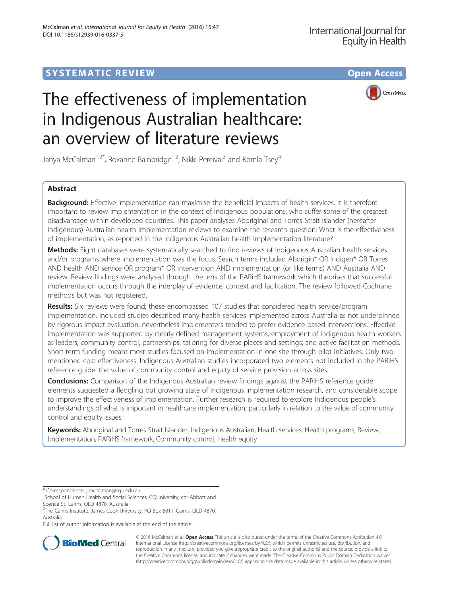## **SYSTEMATIC REVIEW ACCESS AND LOCAL CONSUMING THE CONSUMING OPEN ACCESS**



# The effectiveness of implementation in Indigenous Australian healthcare: an overview of literature reviews

Janya McCalman<sup>1,2\*</sup>, Roxanne Bainbridge<sup>1,2</sup>, Nikki Percival<sup>3</sup> and Komla Tsey<sup>4</sup>

## Abstract

Background: Effective implementation can maximise the beneficial impacts of health services. It is therefore important to review implementation in the context of Indigenous populations, who suffer some of the greatest disadvantage within developed countries. This paper analyses Aboriginal and Torres Strait Islander (hereafter Indigenous) Australian health implementation reviews to examine the research question: What is the effectiveness of implementation, as reported in the Indigenous Australian health implementation literature?

Methods: Eight databases were systematically searched to find reviews of Indigenous Australian health services and/or programs where implementation was the focus. Search terms included Aborigin\* OR Indigen\* OR Torres AND health AND service OR program\* OR intervention AND implementation (or like terms) AND Australia AND review. Review findings were analysed through the lens of the PARiHS framework which theorises that successful implementation occurs through the interplay of evidence, context and facilitation. The review followed Cochrane methods but was not registered.

Results: Six reviews were found; these encompassed 107 studies that considered health service/program implementation. Included studies described many health services implemented across Australia as not underpinned by rigorous impact evaluation; nevertheless implementers tended to prefer evidence-based interventions. Effective implementation was supported by clearly defined management systems, employment of Indigenous health workers as leaders, community control, partnerships, tailoring for diverse places and settings; and active facilitation methods. Short-term funding meant most studies focused on implementation in one site through pilot initiatives. Only two mentioned cost effectiveness. Indigenous Australian studies incorporated two elements not included in the PARiHS reference guide: the value of community control and equity of service provision across sites.

**Conclusions:** Comparison of the Indigenous Australian review findings against the PARiHS reference quide elements suggested a fledgling but growing state of Indigenous implementation research, and considerable scope to improve the effectiveness of implementation. Further research is required to explore Indigenous people's understandings of what is important in healthcare implementation; particularly in relation to the value of community control and equity issues.

Keywords: Aboriginal and Torres Strait Islander, Indigenous Australian, Health services, Health programs, Review, Implementation, PARiHS framework, Community control, Health equity

Full list of author information is available at the end of the article



© 2016 McCalman et al. Open Access This article is distributed under the terms of the Creative Commons Attribution 4.0 International License [\(http://creativecommons.org/licenses/by/4.0/](http://creativecommons.org/licenses/by/4.0/)), which permits unrestricted use, distribution, and reproduction in any medium, provided you give appropriate credit to the original author(s) and the source, provide a link to the Creative Commons license, and indicate if changes were made. The Creative Commons Public Domain Dedication waiver [\(http://creativecommons.org/publicdomain/zero/1.0/](http://creativecommons.org/publicdomain/zero/1.0/)) applies to the data made available in this article, unless otherwise stated.

<sup>\*</sup> Correspondence: [j.mccalman@cqu.edu.au](mailto:j.mccalman@cqu.edu.au) <sup>1</sup>

<sup>&</sup>lt;sup>1</sup>School of Human Health and Social Sciences, CQUniversity, cnr Abbott and Spence St, Cairns, QLD 4870, Australia

<sup>&</sup>lt;sup>2</sup>The Cairns Institute, James Cook University, PO Box 6811, Cairns, QLD 4870, Australia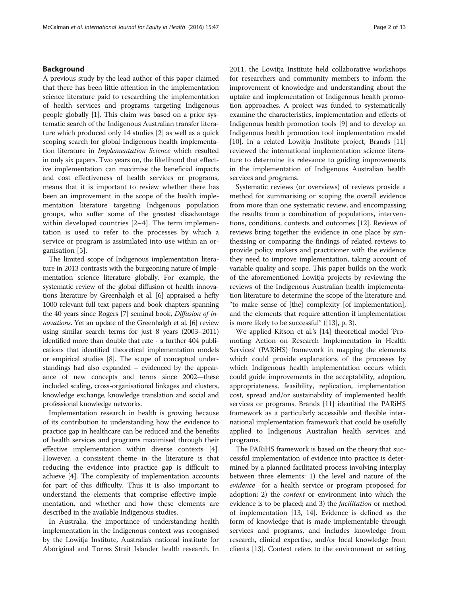## Background

A previous study by the lead author of this paper claimed that there has been little attention in the implementation science literature paid to researching the implementation of health services and programs targeting Indigenous people globally [\[1](#page-11-0)]. This claim was based on a prior systematic search of the Indigenous Australian transfer literature which produced only 14 studies [[2](#page-11-0)] as well as a quick scoping search for global Indigenous health implementation literature in Implementation Science which resulted in only six papers. Two years on, the likelihood that effective implementation can maximise the beneficial impacts and cost effectiveness of health services or programs, means that it is important to review whether there has been an improvement in the scope of the health implementation literature targeting Indigenous population groups, who suffer some of the greatest disadvantage within developed countries [\[2](#page-11-0)–[4](#page-11-0)]. The term implementation is used to refer to the processes by which a service or program is assimilated into use within an organisation [\[5](#page-12-0)].

The limited scope of Indigenous implementation literature in 2013 contrasts with the burgeoning nature of implementation science literature globally. For example, the systematic review of the global diffusion of health innovations literature by Greenhalgh et al. [[6](#page-12-0)] appraised a hefty 1000 relevant full text papers and book chapters spanning the 40 years since Rogers [[7\]](#page-12-0) seminal book, Diffusion of in-novations. Yet an update of the Greenhalgh et al. [\[6](#page-12-0)] review using similar search terms for just 8 years (2003–2011) identified more than double that rate - a further 404 publications that identified theoretical implementation models or empirical studies [[8](#page-12-0)]. The scope of conceptual understandings had also expanded – evidenced by the appearance of new concepts and terms since 2002—these included scaling, cross-organisational linkages and clusters, knowledge exchange, knowledge translation and social and professional knowledge networks.

Implementation research in health is growing because of its contribution to understanding how the evidence to practice gap in healthcare can be reduced and the benefits of health services and programs maximised through their effective implementation within diverse contexts [[4](#page-11-0)]. However, a consistent theme in the literature is that reducing the evidence into practice gap is difficult to achieve [\[4](#page-11-0)]. The complexity of implementation accounts for part of this difficulty. Thus it is also important to understand the elements that comprise effective implementation, and whether and how these elements are described in the available Indigenous studies.

In Australia, the importance of understanding health implementation in the Indigenous context was recognised by the Lowitja Institute, Australia's national institute for Aboriginal and Torres Strait Islander health research. In 2011, the Lowitja Institute held collaborative workshops for researchers and community members to inform the improvement of knowledge and understanding about the uptake and implementation of Indigenous health promotion approaches. A project was funded to systematically examine the characteristics, implementation and effects of Indigenous health promotion tools [\[9\]](#page-12-0) and to develop an Indigenous health promotion tool implementation model [[10](#page-12-0)]. In a related Lowitja Institute project, Brands [[11](#page-12-0)] reviewed the international implementation science literature to determine its relevance to guiding improvements in the implementation of Indigenous Australian health services and programs.

Systematic reviews (or overviews) of reviews provide a method for summarising or scoping the overall evidence from more than one systematic review, and encompassing the results from a combination of populations, interventions, conditions, contexts and outcomes [\[12\]](#page-12-0). Reviews of reviews bring together the evidence in one place by synthesising or comparing the findings of related reviews to provide policy makers and practitioner with the evidence they need to improve implementation, taking account of variable quality and scope. This paper builds on the work of the aforementioned Lowitja projects by reviewing the reviews of the Indigenous Australian health implementation literature to determine the scope of the literature and "to make sense of [the] complexity [of implementation], and the elements that require attention if implementation is more likely to be successful" ([\[13](#page-12-0)], p. 3).

We applied Kitson et al.'s [[14](#page-12-0)] theoretical model 'Promoting Action on Research Implementation in Health Services' (PARiHS) framework in mapping the elements which could provide explanations of the processes by which Indigenous health implementation occurs which could guide improvements in the acceptability, adoption, appropriateness, feasibility, replication, implementation cost, spread and/or sustainability of implemented health services or programs. Brands [\[11\]](#page-12-0) identified the PARiHS framework as a particularly accessible and flexible international implementation framework that could be usefully applied to Indigenous Australian health services and programs.

The PARiHS framework is based on the theory that successful implementation of evidence into practice is determined by a planned facilitated process involving interplay between three elements: 1) the level and nature of the evidence for a health service or program proposed for adoption; 2) the context or environment into which the evidence is to be placed; and 3) the *facilitation* or method of implementation [\[13](#page-12-0), [14\]](#page-12-0). Evidence is defined as the form of knowledge that is made implementable through services and programs, and includes knowledge from research, clinical expertise, and/or local knowledge from clients [\[13\]](#page-12-0). Context refers to the environment or setting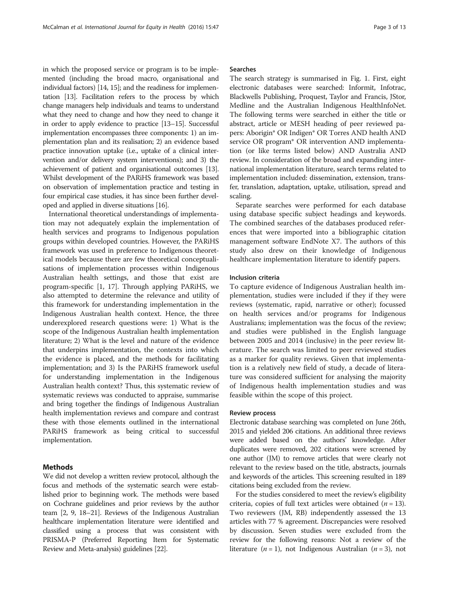in which the proposed service or program is to be implemented (including the broad macro, organisational and individual factors) [\[14, 15\]](#page-12-0); and the readiness for implementation [\[13\]](#page-12-0). Facilitation refers to the process by which change managers help individuals and teams to understand what they need to change and how they need to change it in order to apply evidence to practice [\[13](#page-12-0)–[15\]](#page-12-0). Successful implementation encompasses three components: 1) an implementation plan and its realisation; 2) an evidence based practice innovation uptake (i.e., uptake of a clinical intervention and/or delivery system interventions); and 3) the achievement of patient and organisational outcomes [\[13](#page-12-0)]. Whilst development of the PARiHS framework was based on observation of implementation practice and testing in four empirical case studies, it has since been further developed and applied in diverse situations [[16](#page-12-0)].

International theoretical understandings of implementation may not adequately explain the implementation of health services and programs to Indigenous population groups within developed countries. However, the PARiHS framework was used in preference to Indigenous theoretical models because there are few theoretical conceptualisations of implementation processes within Indigenous Australian health settings, and those that exist are program-specific [[1](#page-11-0), [17\]](#page-12-0). Through applying PARiHS, we also attempted to determine the relevance and utility of this framework for understanding implementation in the Indigenous Australian health context. Hence, the three underexplored research questions were: 1) What is the scope of the Indigenous Australian health implementation literature; 2) What is the level and nature of the evidence that underpins implementation, the contexts into which the evidence is placed, and the methods for facilitating implementation; and 3) Is the PARiHS framework useful for understanding implementation in the Indigenous Australian health context? Thus, this systematic review of systematic reviews was conducted to appraise, summarise and bring together the findings of Indigenous Australian health implementation reviews and compare and contrast these with those elements outlined in the international PARiHS framework as being critical to successful implementation.

#### Methods

We did not develop a written review protocol, although the focus and methods of the systematic search were established prior to beginning work. The methods were based on Cochrane guidelines and prior reviews by the author team [\[2,](#page-11-0) [9, 18](#page-12-0)–[21\]](#page-12-0). Reviews of the Indigenous Australian healthcare implementation literature were identified and classified using a process that was consistent with PRISMA-P (Preferred Reporting Item for Systematic Review and Meta-analysis) guidelines [\[22](#page-12-0)].

#### Searches

The search strategy is summarised in Fig. [1](#page-3-0). First, eight electronic databases were searched: Informit, Infotrac, Blackwells Publishing, Proquest, Taylor and Francis, JStor, Medline and the Australian Indigenous HealthInfoNet. The following terms were searched in either the title or abstract, article or MESH heading of peer reviewed papers: Aborigin\* OR Indigen\* OR Torres AND health AND service OR program\* OR intervention AND implementation (or like terms listed below) AND Australia AND review. In consideration of the broad and expanding international implementation literature, search terms related to implementation included: dissemination, extension, transfer, translation, adaptation, uptake, utilisation, spread and scaling.

Separate searches were performed for each database using database specific subject headings and keywords. The combined searches of the databases produced references that were imported into a bibliographic citation management software EndNote X7. The authors of this study also drew on their knowledge of Indigenous healthcare implementation literature to identify papers.

#### Inclusion criteria

To capture evidence of Indigenous Australian health implementation, studies were included if they if they were reviews (systematic, rapid, narrative or other); focussed on health services and/or programs for Indigenous Australians; implementation was the focus of the review; and studies were published in the English language between 2005 and 2014 (inclusive) in the peer review literature. The search was limited to peer reviewed studies as a marker for quality reviews. Given that implementation is a relatively new field of study, a decade of literature was considered sufficient for analysing the majority of Indigenous health implementation studies and was feasible within the scope of this project.

#### Review process

Electronic database searching was completed on June 26th, 2015 and yielded 206 citations. An additional three reviews were added based on the authors' knowledge. After duplicates were removed, 202 citations were screened by one author (JM) to remove articles that were clearly not relevant to the review based on the title, abstracts, journals and keywords of the articles. This screening resulted in 189 citations being excluded from the review.

For the studies considered to meet the review's eligibility criteria, copies of full text articles were obtained  $(n = 13)$ . Two reviewers (JM, RB) independently assessed the 13 articles with 77 % agreement. Discrepancies were resolved by discussion. Seven studies were excluded from the review for the following reasons: Not a review of the literature ( $n = 1$ ), not Indigenous Australian ( $n = 3$ ), not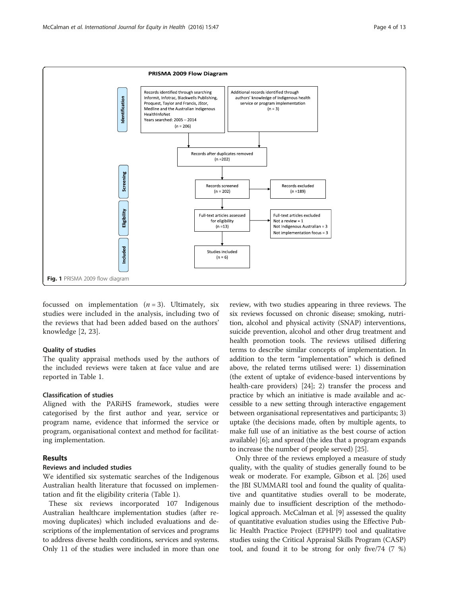

<span id="page-3-0"></span>

focussed on implementation  $(n = 3)$ . Ultimately, six studies were included in the analysis, including two of the reviews that had been added based on the authors' knowledge [\[2](#page-11-0), [23](#page-12-0)].

## Quality of studies

The quality appraisal methods used by the authors of the included reviews were taken at face value and are reported in Table [1](#page-4-0).

#### Classification of studies

Aligned with the PARiHS framework, studies were categorised by the first author and year, service or program name, evidence that informed the service or program, organisational context and method for facilitating implementation.

## Results

## Reviews and included studies

We identified six systematic searches of the Indigenous Australian health literature that focussed on implementation and fit the eligibility criteria (Table [1\)](#page-4-0).

These six reviews incorporated 107 Indigenous Australian healthcare implementation studies (after removing duplicates) which included evaluations and descriptions of the implementation of services and programs to address diverse health conditions, services and systems. Only 11 of the studies were included in more than one

review, with two studies appearing in three reviews. The six reviews focussed on chronic disease; smoking, nutrition, alcohol and physical activity (SNAP) interventions, suicide prevention, alcohol and other drug treatment and health promotion tools. The reviews utilised differing terms to describe similar concepts of implementation. In addition to the term "implementation" which is defined above, the related terms utilised were: 1) dissemination (the extent of uptake of evidence-based interventions by health-care providers) [[24](#page-12-0)]; 2) transfer the process and practice by which an initiative is made available and accessible to a new setting through interactive engagement between organisational representatives and participants; 3) uptake (the decisions made, often by multiple agents, to make full use of an initiative as the best course of action available) [[6](#page-12-0)]; and spread (the idea that a program expands to increase the number of people served) [\[25\]](#page-12-0).

Only three of the reviews employed a measure of study quality, with the quality of studies generally found to be weak or moderate. For example, Gibson et al. [\[26\]](#page-12-0) used the JBI SUMMARI tool and found the quality of qualitative and quantitative studies overall to be moderate, mainly due to insufficient description of the methodological approach. McCalman et al. [[9\]](#page-12-0) assessed the quality of quantitative evaluation studies using the Effective Public Health Practice Project (EPHPP) tool and qualitative studies using the Critical Appraisal Skills Program (CASP) tool, and found it to be strong for only five/74 (7 %)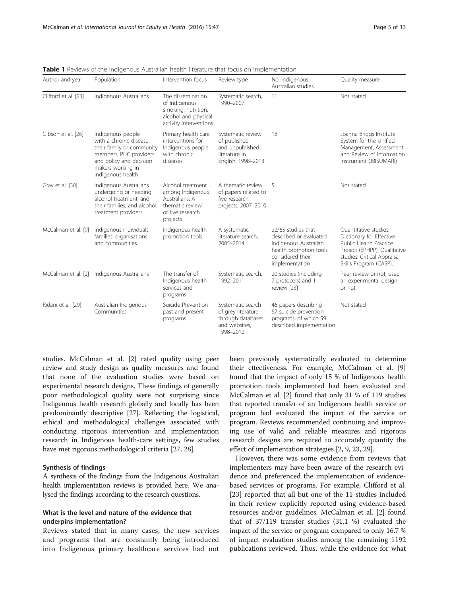| Author and year      | Population                                                                                                                                                               | Intervention focus                                                                                          | Review type                                                                                 | No. Indigenous<br>Australian studies                                                                                                  | Quality measure                                                                                                                                                      |
|----------------------|--------------------------------------------------------------------------------------------------------------------------------------------------------------------------|-------------------------------------------------------------------------------------------------------------|---------------------------------------------------------------------------------------------|---------------------------------------------------------------------------------------------------------------------------------------|----------------------------------------------------------------------------------------------------------------------------------------------------------------------|
| Clifford et al. [23] | Indigenous Australians                                                                                                                                                   | The dissemination<br>of Indigenous<br>smoking, nutrition,<br>alcohol and physical<br>activity interventions | Systematic search,<br>1990-2007                                                             | 11                                                                                                                                    | Not stated                                                                                                                                                           |
| Gibson et al. [26]   | Indigenous people<br>with a chronic disease.<br>their family or community<br>members, PHC providers<br>and policy and decision<br>makers working in<br>Indigenous health | Primary health care<br>interventions for<br>Indigenous people<br>with chronic<br>diseases                   | Systematic review<br>of published<br>and unpublished<br>literature in<br>English, 1998-2013 | 18                                                                                                                                    | Joanna Briggs Institute<br>System for the Unified<br>Management, Assessment<br>and Review of Information<br>instrument (JBISUMARI)                                   |
| Gray et al. [30]     | Indigenous Australians<br>undergoing or needing<br>alcohol treatment, and<br>their families, and alcohol<br>treatment providers.                                         | Alcohol treatment<br>among Indigenous<br>Australians: A<br>thematic review<br>of five research<br>projects  | A thematic review<br>of papers related to<br>five research<br>projects, 2007-2010           | 5                                                                                                                                     | Not stated                                                                                                                                                           |
| McCalman et al. [9]  | Indigenous individuals,<br>families, organisations<br>and communities                                                                                                    | Indigenous health<br>promotion tools                                                                        | A systematic<br>literature search.<br>2005-2014                                             | 22/65 studies that<br>described or evaluated<br>Indigenous Australian<br>health promotion tools<br>considered their<br>implementation | Quantitative studies:<br>Dictionary for Effective<br>Public Health Practice<br>Project (EPHPP); Qualitative<br>studies: Critical Appraisal<br>Skills Program (CASP). |
|                      | McCalman et al. [2] Indigenous Australians                                                                                                                               | The transfer of<br>Indigenous health<br>services and<br>programs                                            | Systematic search,<br>1992-2011                                                             | 20 studies (including<br>7 protocols) and 1<br>review [23]                                                                            | Peer review or not; used<br>an experimental design<br>or not                                                                                                         |
| Ridani et al. [29]   | Australian Indigenous<br>Communities                                                                                                                                     | Suicide Prevention<br>past and present<br>programs                                                          | Systematic search<br>of grey literature<br>through databases<br>and websites,<br>1998-2012  | 46 papers describing<br>67 suicide prevention<br>programs, of which 59<br>described implementation                                    | Not stated                                                                                                                                                           |

<span id="page-4-0"></span>Table 1 Reviews of the Indigenous Australian health literature that focus on implementation

studies. McCalman et al. [\[2](#page-11-0)] rated quality using peer review and study design as quality measures and found that none of the evaluation studies were based on experimental research designs. These findings of generally poor methodological quality were not surprising since Indigenous health research globally and locally has been predominantly descriptive [\[27\]](#page-12-0). Reflecting the logistical, ethical and methodological challenges associated with conducting rigorous intervention and implementation research in Indigenous health-care settings, few studies have met rigorous methodological criteria [\[27](#page-12-0), [28](#page-12-0)].

#### Synthesis of findings

A synthesis of the findings from the Indigenous Australian health implementation reviews is provided here. We analysed the findings according to the research questions.

## What is the level and nature of the evidence that underpins implementation?

Reviews stated that in many cases, the new services and programs that are constantly being introduced into Indigenous primary healthcare services had not been previously systematically evaluated to determine their effectiveness. For example, McCalman et al. [[9](#page-12-0)] found that the impact of only 15 % of Indigenous health promotion tools implemented had been evaluated and McCalman et al. [\[2](#page-11-0)] found that only 31 % of 119 studies that reported transfer of an Indigenous health service or program had evaluated the impact of the service or program. Reviews recommended continuing and improving use of valid and reliable measures and rigorous research designs are required to accurately quantify the effect of implementation strategies [\[2](#page-11-0), [9, 23](#page-12-0), [29](#page-12-0)].

However, there was some evidence from reviews that implementers may have been aware of the research evidence and preferenced the implementation of evidencebased services or programs. For example, Clifford et al. [[23\]](#page-12-0) reported that all but one of the 11 studies included in their review explicitly reported using evidence-based resources and/or guidelines. McCalman et al. [[2\]](#page-11-0) found that of 37/119 transfer studies (31.1 %) evaluated the impact of the service or program compared to only 16.7 % of impact evaluation studies among the remaining 1192 publications reviewed. Thus, while the evidence for what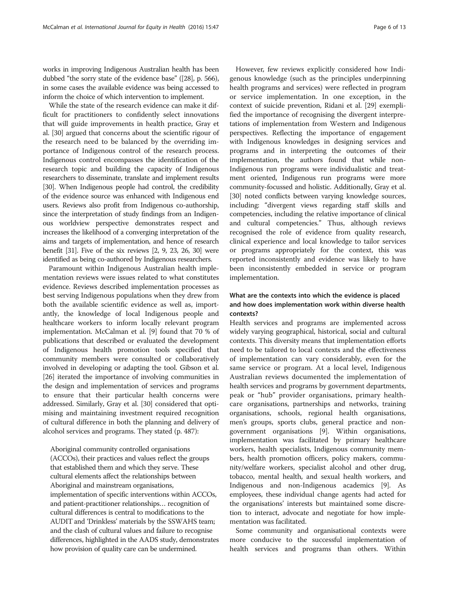works in improving Indigenous Australian health has been dubbed "the sorry state of the evidence base" ([[28](#page-12-0)], p. 566), in some cases the available evidence was being accessed to inform the choice of which intervention to implement.

While the state of the research evidence can make it difficult for practitioners to confidently select innovations that will guide improvements in health practice, Gray et al. [[30](#page-12-0)] argued that concerns about the scientific rigour of the research need to be balanced by the overriding importance of Indigenous control of the research process. Indigenous control encompasses the identification of the research topic and building the capacity of Indigenous researchers to disseminate, translate and implement results [[30](#page-12-0)]. When Indigenous people had control, the credibility of the evidence source was enhanced with Indigenous end users. Reviews also profit from Indigenous co-authorship, since the interpretation of study findings from an Indigenous worldview perspective demonstrates respect and increases the likelihood of a converging interpretation of the aims and targets of implementation, and hence of research benefit [[31](#page-12-0)]. Five of the six reviews [[2](#page-11-0), [9, 23, 26, 30](#page-12-0)] were identified as being co-authored by Indigenous researchers.

Paramount within Indigenous Australian health implementation reviews were issues related to what constitutes evidence. Reviews described implementation processes as best serving Indigenous populations when they drew from both the available scientific evidence as well as, importantly, the knowledge of local Indigenous people and healthcare workers to inform locally relevant program implementation. McCalman et al. [[9\]](#page-12-0) found that 70 % of publications that described or evaluated the development of Indigenous health promotion tools specified that community members were consulted or collaboratively involved in developing or adapting the tool. Gibson et al. [[26](#page-12-0)] iterated the importance of involving communities in the design and implementation of services and programs to ensure that their particular health concerns were addressed. Similarly, Gray et al. [\[30\]](#page-12-0) considered that optimising and maintaining investment required recognition of cultural difference in both the planning and delivery of alcohol services and programs. They stated (p. 487):

Aboriginal community controlled organisations (ACCOs), their practices and values reflect the groups that established them and which they serve. These cultural elements affect the relationships between Aboriginal and mainstream organisations, implementation of specific interventions within ACCOs, and patient-practitioner relationships… recognition of cultural differences is central to modifications to the AUDIT and 'Drinkless' materials by the SSWAHS team; and the clash of cultural values and failure to recognise differences, highlighted in the AADS study, demonstrates how provision of quality care can be undermined.

However, few reviews explicitly considered how Indigenous knowledge (such as the principles underpinning health programs and services) were reflected in program or service implementation. In one exception, in the context of suicide prevention, Ridani et al. [\[29\]](#page-12-0) exemplified the importance of recognising the divergent interpretations of implementation from Western and Indigenous perspectives. Reflecting the importance of engagement with Indigenous knowledges in designing services and programs and in interpreting the outcomes of their implementation, the authors found that while non-Indigenous run programs were individualistic and treatment oriented, Indigenous run programs were more community-focussed and holistic. Additionally, Gray et al. [[30](#page-12-0)] noted conflicts between varying knowledge sources, including: "divergent views regarding staff skills and competencies, including the relative importance of clinical and cultural competencies." Thus, although reviews recognised the role of evidence from quality research, clinical experience and local knowledge to tailor services or programs appropriately for the context, this was reported inconsistently and evidence was likely to have been inconsistently embedded in service or program implementation.

## What are the contexts into which the evidence is placed and how does implementation work within diverse health contexts?

Health services and programs are implemented across widely varying geographical, historical, social and cultural contexts. This diversity means that implementation efforts need to be tailored to local contexts and the effectiveness of implementation can vary considerably, even for the same service or program. At a local level, Indigenous Australian reviews documented the implementation of health services and programs by government departments, peak or "hub" provider organisations, primary healthcare organisations, partnerships and networks, training organisations, schools, regional health organisations, men's groups, sports clubs, general practice and nongovernment organisations [[9\]](#page-12-0). Within organisations, implementation was facilitated by primary healthcare workers, health specialists, Indigenous community members, health promotion officers, policy makers, community/welfare workers, specialist alcohol and other drug, tobacco, mental health, and sexual health workers, and Indigenous and non-Indigenous academics [[9](#page-12-0)]. As employees, these individual change agents had acted for the organisations' interests but maintained some discretion to interact, advocate and negotiate for how implementation was facilitated.

Some community and organisational contexts were more conducive to the successful implementation of health services and programs than others. Within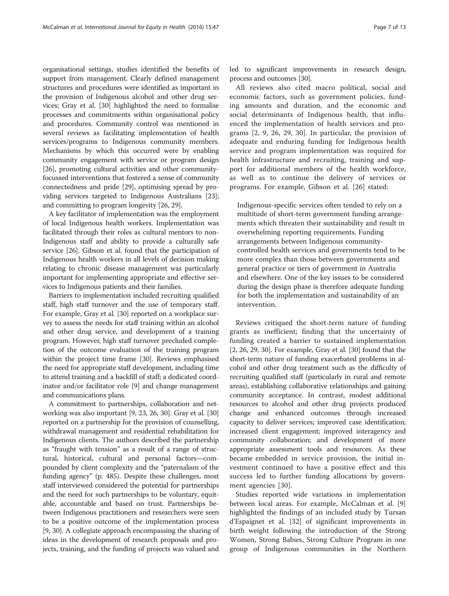organisational settings, studies identified the benefits of support from management. Clearly defined management structures and procedures were identified as important in the provision of Indigenous alcohol and other drug services; Gray et al. [\[30\]](#page-12-0) highlighted the need to formalise processes and commitments within organisational policy and procedures. Community control was mentioned in several reviews as facilitating implementation of health services/programs to Indigenous community members. Mechanisms by which this occurred were by enabling community engagement with service or program design [[26](#page-12-0)], promoting cultural activities and other communityfocussed interventions that fostered a sense of community

connectedness and pride [\[29\]](#page-12-0), optimising spread by providing services targeted to Indigenous Australians [[23](#page-12-0)]; and committing to program longevity [[26, 29\]](#page-12-0). A key facilitator of implementation was the employment of local Indigenous health workers. Implementation was facilitated through their roles as cultural mentors to non-Indigenous staff and ability to provide a culturally safe service [[26\]](#page-12-0). Gibson et al. found that the participation of

Indigenous health workers in all levels of decision making relating to chronic disease management was particularly important for implementing appropriate and effective services to Indigenous patients and their families.

Barriers to implementation included recruiting qualified staff, high staff turnover and the use of temporary staff. For example, Gray et al. [\[30](#page-12-0)] reported on a workplace survey to assess the needs for staff training within an alcohol and other drug service, and development of a training program. However, high staff turnover precluded completion of the outcome evaluation of the training program within the project time frame [[30](#page-12-0)]. Reviews emphasised the need for appropriate staff development, including time to attend training and a backfill of staff; a dedicated coordinator and/or facilitator role [[9](#page-12-0)] and change management and communications plans.

A commitment to partnerships, collaboration and networking was also important [\[9](#page-12-0), [23](#page-12-0), [26](#page-12-0), [30\]](#page-12-0). Gray et al. [[30](#page-12-0)] reported on a partnership for the provision of counselling, withdrawal management and residential rehabilitation for Indigenous clients. The authors described the partnership as "fraught with tension" as a result of a range of structural, historical, cultural and personal factors—compounded by client complexity and the "paternalism of the funding agency" (p. 485). Despite these challenges, most staff interviewed considered the potential for partnerships and the need for such partnerships to be voluntary, equitable, accountable and based on trust. Partnerships between Indigenous practitioners and researchers were seen to be a positive outcome of the implementation process [[9, 30](#page-12-0)]. A collegiate approach encompassing the sharing of ideas in the development of research proposals and projects, training, and the funding of projects was valued and led to significant improvements in research design, process and outcomes [\[30\]](#page-12-0).

All reviews also cited macro political, social and economic factors, such as government policies, funding amounts and duration, and the economic and social determinants of Indigenous health, that influenced the implementation of health services and programs [\[2](#page-11-0), [9](#page-12-0), [26, 29](#page-12-0), [30](#page-12-0)]. In particular, the provision of adequate and enduring funding for Indigenous health service and program implementation was required for health infrastructure and recruiting, training and support for additional members of the health workforce, as well as to continue the delivery of services or programs. For example, Gibson et al. [\[26](#page-12-0)] stated:

Indigenous-specific services often tended to rely on a multitude of short-term government funding arrangements which threaten their sustainability and result in overwhelming reporting requirements. Funding arrangements between Indigenous communitycontrolled health services and governments tend to be more complex than those between governments and general practice or tiers of government in Australia and elsewhere. One of the key issues to be considered during the design phase is therefore adequate funding for both the implementation and sustainability of an intervention.

Reviews critiqued the short-term nature of funding grants as inefficient; finding that the uncertainty of funding created a barrier to sustained implementation [[2,](#page-11-0) [26](#page-12-0), [29, 30](#page-12-0)]. For example, Gray et al. [[30](#page-12-0)] found that the short-term nature of funding exacerbated problems in alcohol and other drug treatment such as the difficulty of recruiting qualified staff (particularly in rural and remote areas), establishing collaborative relationships and gaining community acceptance. In contrast, modest additional resources to alcohol and other drug projects produced change and enhanced outcomes through increased capacity to deliver services; improved case identification; increased client engagement; improved interagency and community collaboration; and development of more appropriate assessment tools and resources. As these became embedded in service provision, the initial investment continued to have a positive effect and this success led to further funding allocations by government agencies [\[30](#page-12-0)].

Studies reported wide variations in implementation between local areas. For example, McCalman et al. [\[9](#page-12-0)] highlighted the findings of an included study by Tursan d'Espaignet et al. [\[32](#page-12-0)] of significant improvements in birth weight following the introduction of the Strong Women, Strong Babies, Strong Culture Program in one group of Indigenous communities in the Northern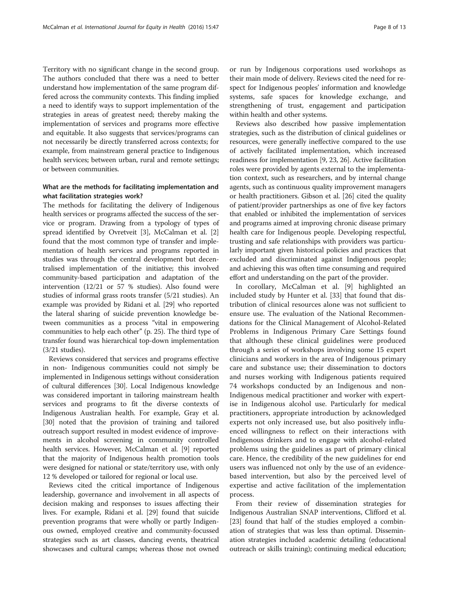Territory with no significant change in the second group. The authors concluded that there was a need to better understand how implementation of the same program differed across the community contexts. This finding implied a need to identify ways to support implementation of the strategies in areas of greatest need; thereby making the implementation of services and programs more effective and equitable. It also suggests that services/programs can not necessarily be directly transferred across contexts; for example, from mainstream general practice to Indigenous health services; between urban, rural and remote settings; or between communities.

## What are the methods for facilitating implementation and what facilitation strategies work?

The methods for facilitating the delivery of Indigenous health services or programs affected the success of the service or program. Drawing from a typology of types of spread identified by Ovretveit [\[3](#page-11-0)], McCalman et al. [[2](#page-11-0)] found that the most common type of transfer and implementation of health services and programs reported in studies was through the central development but decentralised implementation of the initiative; this involved community-based participation and adaptation of the intervention (12/21 or 57 % studies). Also found were studies of informal grass roots transfer (5/21 studies). An example was provided by Ridani et al. [\[29](#page-12-0)] who reported the lateral sharing of suicide prevention knowledge between communities as a process "vital in empowering communities to help each other" (p. 25). The third type of transfer found was hierarchical top-down implementation (3/21 studies).

Reviews considered that services and programs effective in non- Indigenous communities could not simply be implemented in Indigenous settings without consideration of cultural differences [\[30\]](#page-12-0). Local Indigenous knowledge was considered important in tailoring mainstream health services and programs to fit the diverse contexts of Indigenous Australian health. For example, Gray et al. [[30](#page-12-0)] noted that the provision of training and tailored outreach support resulted in modest evidence of improvements in alcohol screening in community controlled health services. However, McCalman et al. [[9\]](#page-12-0) reported that the majority of Indigenous health promotion tools were designed for national or state/territory use, with only 12 % developed or tailored for regional or local use.

Reviews cited the critical importance of Indigenous leadership, governance and involvement in all aspects of decision making and responses to issues affecting their lives. For example, Ridani et al. [\[29\]](#page-12-0) found that suicide prevention programs that were wholly or partly Indigenous owned, employed creative and community-focussed strategies such as art classes, dancing events, theatrical showcases and cultural camps; whereas those not owned

or run by Indigenous corporations used workshops as their main mode of delivery. Reviews cited the need for respect for Indigenous peoples' information and knowledge systems, safe spaces for knowledge exchange, and strengthening of trust, engagement and participation within health and other systems.

Reviews also described how passive implementation strategies, such as the distribution of clinical guidelines or resources, were generally ineffective compared to the use of actively facilitated implementation, which increased readiness for implementation [\[9](#page-12-0), [23](#page-12-0), [26\]](#page-12-0). Active facilitation roles were provided by agents external to the implementation context, such as researchers, and by internal change agents, such as continuous quality improvement managers or health practitioners. Gibson et al. [\[26](#page-12-0)] cited the quality of patient/provider partnerships as one of five key factors that enabled or inhibited the implementation of services and programs aimed at improving chronic disease primary health care for Indigenous people. Developing respectful, trusting and safe relationships with providers was particularly important given historical policies and practices that excluded and discriminated against Indigenous people; and achieving this was often time consuming and required effort and understanding on the part of the provider.

In corollary, McCalman et al. [\[9](#page-12-0)] highlighted an included study by Hunter et al. [[33\]](#page-12-0) that found that distribution of clinical resources alone was not sufficient to ensure use. The evaluation of the National Recommendations for the Clinical Management of Alcohol-Related Problems in Indigenous Primary Care Settings found that although these clinical guidelines were produced through a series of workshops involving some 15 expert clinicians and workers in the area of Indigenous primary care and substance use; their dissemination to doctors and nurses working with Indigenous patients required 74 workshops conducted by an Indigenous and non-Indigenous medical practitioner and worker with expertise in Indigenous alcohol use. Particularly for medical practitioners, appropriate introduction by acknowledged experts not only increased use, but also positively influenced willingness to reflect on their interactions with Indigenous drinkers and to engage with alcohol-related problems using the guidelines as part of primary clinical care. Hence, the credibility of the new guidelines for end users was influenced not only by the use of an evidencebased intervention, but also by the perceived level of expertise and active facilitation of the implementation process.

From their review of dissemination strategies for Indigenous Australian SNAP interventions, Clifford et al. [[23](#page-12-0)] found that half of the studies employed a combination of strategies that was less than optimal. Dissemination strategies included academic detailing (educational outreach or skills training); continuing medical education;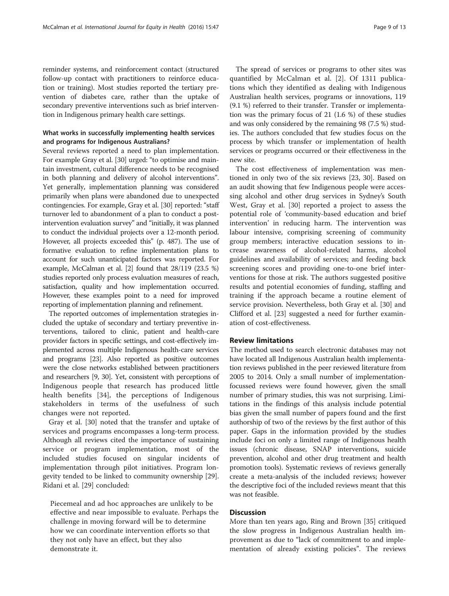reminder systems, and reinforcement contact (structured follow-up contact with practitioners to reinforce education or training). Most studies reported the tertiary prevention of diabetes care, rather than the uptake of secondary preventive interventions such as brief intervention in Indigenous primary health care settings.

## What works in successfully implementing health services and programs for Indigenous Australians?

Several reviews reported a need to plan implementation. For example Gray et al. [\[30](#page-12-0)] urged: "to optimise and maintain investment, cultural difference needs to be recognised in both planning and delivery of alcohol interventions". Yet generally, implementation planning was considered primarily when plans were abandoned due to unexpected contingencies. For example, Gray et al. [\[30](#page-12-0)] reported: "staff turnover led to abandonment of a plan to conduct a postintervention evaluation survey" and "initially, it was planned to conduct the individual projects over a 12-month period. However, all projects exceeded this" (p. 487). The use of formative evaluation to refine implementation plans to account for such unanticipated factors was reported. For example, McCalman et al. [\[2\]](#page-11-0) found that 28/119 (23.5 %) studies reported only process evaluation measures of reach, satisfaction, quality and how implementation occurred. However, these examples point to a need for improved reporting of implementation planning and refinement.

The reported outcomes of implementation strategies included the uptake of secondary and tertiary preventive interventions, tailored to clinic, patient and health-care provider factors in specific settings, and cost-effectively implemented across multiple Indigenous health-care services and programs [\[23\]](#page-12-0). Also reported as positive outcomes were the close networks established between practitioners and researchers [[9](#page-12-0), [30](#page-12-0)]. Yet, consistent with perceptions of Indigenous people that research has produced little health benefits [[34\]](#page-12-0), the perceptions of Indigenous stakeholders in terms of the usefulness of such changes were not reported.

Gray et al. [\[30\]](#page-12-0) noted that the transfer and uptake of services and programs encompasses a long-term process. Although all reviews cited the importance of sustaining service or program implementation, most of the included studies focused on singular incidents of implementation through pilot initiatives. Program longevity tended to be linked to community ownership [\[29](#page-12-0)]. Ridani et al. [[29](#page-12-0)] concluded:

Piecemeal and ad hoc approaches are unlikely to be effective and near impossible to evaluate. Perhaps the challenge in moving forward will be to determine how we can coordinate intervention efforts so that they not only have an effect, but they also demonstrate it.

The spread of services or programs to other sites was quantified by McCalman et al. [\[2](#page-11-0)]. Of 1311 publications which they identified as dealing with Indigenous Australian health services, programs or innovations, 119 (9.1 %) referred to their transfer. Transfer or implementation was the primary focus of 21 (1.6 %) of these studies and was only considered by the remaining 98 (7.5 %) studies. The authors concluded that few studies focus on the process by which transfer or implementation of health services or programs occurred or their effectiveness in the new site.

The cost effectiveness of implementation was mentioned in only two of the six reviews [\[23, 30\]](#page-12-0). Based on an audit showing that few Indigenous people were accessing alcohol and other drug services in Sydney's South West, Gray et al. [[30\]](#page-12-0) reported a project to assess the potential role of 'community-based education and brief intervention' in reducing harm. The intervention was labour intensive, comprising screening of community group members; interactive education sessions to increase awareness of alcohol-related harms, alcohol guidelines and availability of services; and feeding back screening scores and providing one-to-one brief interventions for those at risk. The authors suggested positive results and potential economies of funding, staffing and training if the approach became a routine element of service provision. Nevertheless, both Gray et al. [\[30](#page-12-0)] and Clifford et al. [[23\]](#page-12-0) suggested a need for further examination of cost-effectiveness.

## Review limitations

The method used to search electronic databases may not have located all Indigenous Australian health implementation reviews published in the peer reviewed literature from 2005 to 2014. Only a small number of implementationfocussed reviews were found however, given the small number of primary studies, this was not surprising. Limitations in the findings of this analysis include potential bias given the small number of papers found and the first authorship of two of the reviews by the first author of this paper. Gaps in the information provided by the studies include foci on only a limited range of Indigenous health issues (chronic disease, SNAP interventions, suicide prevention, alcohol and other drug treatment and health promotion tools). Systematic reviews of reviews generally create a meta-analysis of the included reviews; however the descriptive foci of the included reviews meant that this was not feasible.

## **Discussion**

More than ten years ago, Ring and Brown [[35\]](#page-12-0) critiqued the slow progress in Indigenous Australian health improvement as due to "lack of commitment to and implementation of already existing policies". The reviews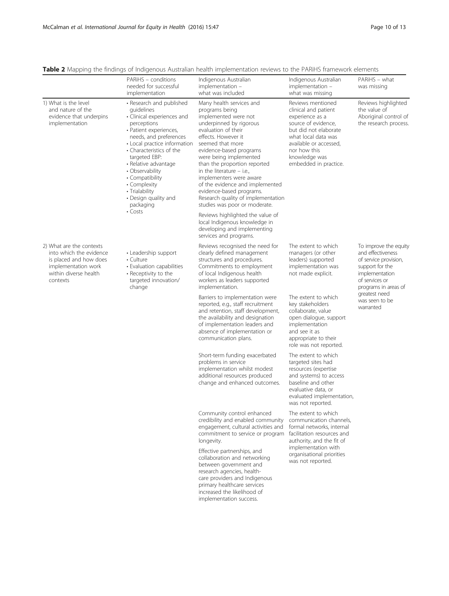| PARIHS - conditions<br>needed for successful<br>implementation                                                                                                                                                                                                                                                                                            | Indigenous Australian<br>implementation -<br>what was included                                                                                                                                                                                                                                                                                                                                                                                       | Indigenous Australian<br>implementation -<br>what was missing                                                                                                                                                           | PARIHS - what<br>was missing                                                                                                                       |  |
|-----------------------------------------------------------------------------------------------------------------------------------------------------------------------------------------------------------------------------------------------------------------------------------------------------------------------------------------------------------|------------------------------------------------------------------------------------------------------------------------------------------------------------------------------------------------------------------------------------------------------------------------------------------------------------------------------------------------------------------------------------------------------------------------------------------------------|-------------------------------------------------------------------------------------------------------------------------------------------------------------------------------------------------------------------------|----------------------------------------------------------------------------------------------------------------------------------------------------|--|
| • Research and published<br>guidelines<br>· Clinical experiences and<br>perceptions<br>• Patient experiences,<br>needs, and preferences<br>• Local practice information<br>• Characteristics of the<br>targeted EBP:<br>· Relative advantage<br>• Observability<br>• Compatibility<br>• Complexity<br>• Trialability<br>• Design quality and<br>packaging | Many health services and<br>programs being<br>implemented were not<br>underpinned by rigorous<br>evaluation of their<br>effects. However it<br>seemed that more<br>evidence-based programs<br>were being implemented<br>than the proportion reported<br>in the literature $-$ i.e.,<br>implementers were aware<br>of the evidence and implemented<br>evidence-based programs.<br>Research quality of implementation<br>studies was poor or moderate. | Reviews mentioned<br>clinical and patient<br>experience as a<br>source of evidence,<br>but did not elaborate<br>what local data was<br>available or accessed,<br>nor how this<br>knowledge was<br>embedded in practice. | Reviews highlighted<br>the value of<br>Aboriginal control of<br>the research process.                                                              |  |
|                                                                                                                                                                                                                                                                                                                                                           | Reviews highlighted the value of<br>local Indigenous knowledge in<br>developing and implementing<br>services and programs.                                                                                                                                                                                                                                                                                                                           |                                                                                                                                                                                                                         |                                                                                                                                                    |  |
| 2) What are the contexts<br>into which the evidence<br>• Leadership support<br>is placed and how does<br>• Culture<br>• Evaluation capabilities<br>implementation work<br>within diverse health<br>• Receptivity to the<br>targeted innovation/<br>change                                                                                                 | Reviews recognised the need for<br>clearly defined management<br>structures and procedures.<br>Commitments to employment<br>of local Indigenous health<br>workers as leaders supported<br>implementation.                                                                                                                                                                                                                                            | The extent to which<br>managers (or other<br>leaders) supported<br>implementation was<br>not made explicit.                                                                                                             | To improve the equity<br>and effectiveness<br>of service provision,<br>support for the<br>implementation<br>of services or<br>programs in areas of |  |
|                                                                                                                                                                                                                                                                                                                                                           | Barriers to implementation were<br>reported, e.g., staff recruitment<br>and retention, staff development,<br>the availability and designation<br>of implementation leaders and<br>absence of implementation or<br>communication plans.                                                                                                                                                                                                               | The extent to which<br>key stakeholders<br>collaborate, value<br>open dialogue, support<br>implementation<br>and see it as<br>appropriate to their<br>role was not reported.                                            | greatest need<br>was seen to be<br>warranted                                                                                                       |  |
|                                                                                                                                                                                                                                                                                                                                                           | Short-term funding exacerbated<br>problems in service<br>implementation whilst modest<br>additional resources produced<br>change and enhanced outcomes.                                                                                                                                                                                                                                                                                              | The extent to which<br>targeted sites had<br>resources (expertise<br>and systems) to access<br>baseline and other<br>evaluative data, or<br>evaluated implementation,<br>was not reported.                              |                                                                                                                                                    |  |
|                                                                                                                                                                                                                                                                                                                                                           | Community control enhanced<br>credibility and enabled community<br>engagement, cultural activities and<br>longevity.                                                                                                                                                                                                                                                                                                                                 | The extent to which<br>communication channels,<br>formal networks, internal<br>facilitation resources and<br>authority, and the fit of                                                                                  |                                                                                                                                                    |  |
|                                                                                                                                                                                                                                                                                                                                                           | Effective partnerships, and<br>collaboration and networking<br>between government and<br>research agencies, health-<br>care providers and Indigenous<br>primary healthcare services<br>increased the likelihood of<br>implementation success.                                                                                                                                                                                                        | organisational priorities<br>was not reported.                                                                                                                                                                          |                                                                                                                                                    |  |
|                                                                                                                                                                                                                                                                                                                                                           | $\cdot$ Costs                                                                                                                                                                                                                                                                                                                                                                                                                                        |                                                                                                                                                                                                                         | commitment to service or program<br>implementation with                                                                                            |  |

<span id="page-9-0"></span>Table 2 Mapping the findings of Indigenous Australian health implementation reviews to the PARiHS framework elements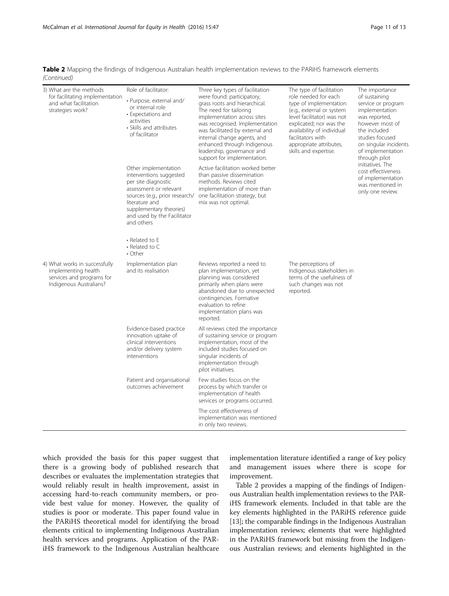| Table 2 Mapping the findings of Indigenous Australian health implementation reviews to the PARiHS framework elements |  |  |  |
|----------------------------------------------------------------------------------------------------------------------|--|--|--|
| (Continued)                                                                                                          |  |  |  |

| 3) What are the methods<br>for facilitating implementation<br>and what facilitation<br>strategies work?      | Role of facilitator:<br>• Purpose, external and/<br>or internal role<br>• Expectations and<br>activities<br>• Skills and attributes<br>of facilitator                                                                        | Three key types of facilitation<br>were found: participatory,<br>grass roots and hierarchical.<br>The need for tailoring<br>implementation across sites<br>was recognised. Implementation<br>was facilitated by external and<br>internal change agents, and<br>enhanced through Indigenous<br>leadership, governance and<br>support for implementation. | The type of facilitation<br>role needed for each<br>type of implementation<br>(e.g., external or system<br>level facilitator) was not<br>explicated; nor was the<br>availability of individual<br>facilitators with<br>appropriate attributes,<br>skills and expertise. | The importance<br>of sustaining<br>service or program<br>implementation<br>was reported,<br>however most of<br>the included<br>studies focused<br>on singular incidents<br>of implementation<br>through pilot |
|--------------------------------------------------------------------------------------------------------------|------------------------------------------------------------------------------------------------------------------------------------------------------------------------------------------------------------------------------|---------------------------------------------------------------------------------------------------------------------------------------------------------------------------------------------------------------------------------------------------------------------------------------------------------------------------------------------------------|-------------------------------------------------------------------------------------------------------------------------------------------------------------------------------------------------------------------------------------------------------------------------|---------------------------------------------------------------------------------------------------------------------------------------------------------------------------------------------------------------|
|                                                                                                              | Other implementation<br>interventions suggested<br>per site diagnostic<br>assessment or relevant<br>sources (e.g., prior research/<br>literature and<br>supplementary theories)<br>and used by the Facilitator<br>and others | Active facilitation worked better<br>than passive dissemination<br>methods. Reviews cited<br>implementation of more than<br>one facilitation strategy, but<br>mix was not optimal.                                                                                                                                                                      |                                                                                                                                                                                                                                                                         | initiatives. The<br>cost effectiveness<br>of implementation<br>was mentioned in<br>only one review.                                                                                                           |
|                                                                                                              | • Related to E<br>$\cdot$ Related to C<br>$\cdot$ Other                                                                                                                                                                      |                                                                                                                                                                                                                                                                                                                                                         |                                                                                                                                                                                                                                                                         |                                                                                                                                                                                                               |
| 4) What works in successfully<br>implementing health<br>services and programs for<br>Indigenous Australians? | Implementation plan<br>and its realisation                                                                                                                                                                                   | Reviews reported a need to<br>plan implementation, yet<br>planning was considered<br>primarily when plans were<br>abandoned due to unexpected<br>contingencies. Formative<br>evaluation to refine<br>implementation plans was<br>reported.                                                                                                              | The perceptions of<br>Indigenous stakeholders in<br>terms of the usefulness of<br>such changes was not<br>reported.                                                                                                                                                     |                                                                                                                                                                                                               |
|                                                                                                              | Evidence-based practice<br>innovation uptake of<br>clinical interventions<br>and/or delivery system<br>interventions                                                                                                         | All reviews cited the importance<br>of sustaining service or program<br>implementation, most of the<br>included studies focused on<br>singular incidents of<br>implementation through<br>pilot initiatives.                                                                                                                                             |                                                                                                                                                                                                                                                                         |                                                                                                                                                                                                               |
|                                                                                                              | Patient and organisational<br>outcomes achievement                                                                                                                                                                           | Few studies focus on the<br>process by which transfer or<br>implementation of health<br>services or programs occurred.                                                                                                                                                                                                                                  |                                                                                                                                                                                                                                                                         |                                                                                                                                                                                                               |
|                                                                                                              |                                                                                                                                                                                                                              | The cost effectiveness of<br>implementation was mentioned<br>in only two reviews.                                                                                                                                                                                                                                                                       |                                                                                                                                                                                                                                                                         |                                                                                                                                                                                                               |

which provided the basis for this paper suggest that there is a growing body of published research that describes or evaluates the implementation strategies that would reliably result in health improvement, assist in accessing hard-to-reach community members, or provide best value for money. However, the quality of studies is poor or moderate. This paper found value in the PARiHS theoretical model for identifying the broad elements critical to implementing Indigenous Australian health services and programs. Application of the PARiHS framework to the Indigenous Australian healthcare implementation literature identified a range of key policy and management issues where there is scope for improvement.

Table [2](#page-9-0) provides a mapping of the findings of Indigenous Australian health implementation reviews to the PARiHS framework elements. Included in that table are the key elements highlighted in the PARiHS reference guide [[13](#page-12-0)]; the comparable findings in the Indigenous Australian implementation reviews; elements that were highlighted in the PARiHS framework but missing from the Indigenous Australian reviews; and elements highlighted in the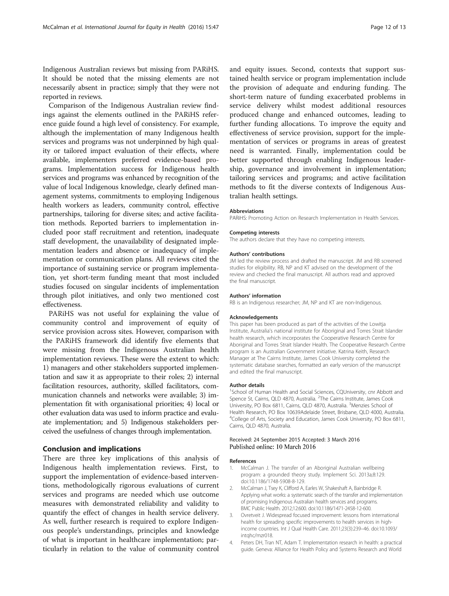<span id="page-11-0"></span>Indigenous Australian reviews but missing from PARiHS. It should be noted that the missing elements are not necessarily absent in practice; simply that they were not reported in reviews.

Comparison of the Indigenous Australian review findings against the elements outlined in the PARiHS reference guide found a high level of consistency. For example, although the implementation of many Indigenous health services and programs was not underpinned by high quality or tailored impact evaluation of their effects, where available, implementers preferred evidence-based programs. Implementation success for Indigenous health services and programs was enhanced by recognition of the value of local Indigenous knowledge, clearly defined management systems, commitments to employing Indigenous health workers as leaders, community control, effective partnerships, tailoring for diverse sites; and active facilitation methods. Reported barriers to implementation included poor staff recruitment and retention, inadequate staff development, the unavailability of designated implementation leaders and absence or inadequacy of implementation or communication plans. All reviews cited the importance of sustaining service or program implementation, yet short-term funding meant that most included studies focused on singular incidents of implementation through pilot initiatives, and only two mentioned cost effectiveness.

PARiHS was not useful for explaining the value of community control and improvement of equity of service provision across sites. However, comparison with the PARiHS framework did identify five elements that were missing from the Indigenous Australian health implementation reviews. These were the extent to which: 1) managers and other stakeholders supported implementation and saw it as appropriate to their roles; 2) internal facilitation resources, authority, skilled facilitators, communication channels and networks were available; 3) implementation fit with organisational priorities; 4) local or other evaluation data was used to inform practice and evaluate implementation; and 5) Indigenous stakeholders perceived the usefulness of changes through implementation.

#### Conclusion and implications

There are three key implications of this analysis of Indigenous health implementation reviews. First, to support the implementation of evidence-based interventions, methodologically rigorous evaluations of current services and programs are needed which use outcome measures with demonstrated reliability and validity to quantify the effect of changes in health service delivery. As well, further research is required to explore Indigenous people's understandings, principles and knowledge of what is important in healthcare implementation; particularly in relation to the value of community control

and equity issues. Second, contexts that support sustained health service or program implementation include the provision of adequate and enduring funding. The short-term nature of funding exacerbated problems in service delivery whilst modest additional resources produced change and enhanced outcomes, leading to further funding allocations. To improve the equity and effectiveness of service provision, support for the implementation of services or programs in areas of greatest need is warranted. Finally, implementation could be better supported through enabling Indigenous leadership, governance and involvement in implementation; tailoring services and programs; and active facilitation methods to fit the diverse contexts of Indigenous Australian health settings.

#### Abbreviations

PARiHS: Promoting Action on Research Implementation in Health Services.

#### Competing interests

The authors declare that they have no competing interests.

#### Authors' contributions

JM led the review process and drafted the manuscript. JM and RB screened studies for eligibility. RB, NP and KT advised on the development of the review and checked the final manuscript. All authors read and approved the final manuscript.

#### Authors' information

RB is an Indigenous researcher; JM, NP and KT are non-Indigenous.

#### Acknowledgements

This paper has been produced as part of the activities of the Lowitja Institute, Australia's national institute for Aboriginal and Torres Strait Islander health research, which incorporates the Cooperative Research Centre for Aboriginal and Torres Strait Islander Health. The Cooperative Research Centre program is an Australian Government initiative. Katrina Keith, Research Manager at The Cairns Institute, James Cook University completed the systematic database searches, formatted an early version of the manuscript and edited the final manuscript.

#### Author details

<sup>1</sup>School of Human Health and Social Sciences, CQUniversity, cnr Abbott and Spence St, Cairns, QLD 4870, Australia. <sup>2</sup>The Cairns Institute, James Cook University, PO Box 6811, Cairns, QLD 4870, Australia. <sup>3</sup>Menzies School of Health Research, PO Box 10639Adelaide Street, Brisbane, QLD 4000, Australia. 4 College of Arts, Society and Education, James Cook University, PO Box 6811, Cairns, QLD 4870, Australia.

#### Received: 24 September 2015 Accepted: 3 March 2016 Published online: 10 March 2016

#### References

- 1. McCalman J. The transfer of an Aboriginal Australian wellbeing program: a grounded theory study. Implement Sci. 2013a;8:129. doi[:10.1186/1748-5908-8-129.](http://dx.doi.org/10.1186/1748-5908-8-129)
- 2. McCalman J, Tsey K, Clifford A, Earles W, Shakeshaft A, Bainbridge R. Applying what works: a systematic search of the transfer and implementation of promising Indigenous Australian health services and programs. BMC Public Health. 2012;12:600. doi[:10.1186/1471-2458-12-600.](http://dx.doi.org/10.1186/1471-2458-12-600)
- 3. Ovretveit J. Widespread focused improvement: lessons from international health for spreading specific improvements to health services in highincome countries. Int J Qual Health Care. 2011;23(3):239–46. doi:[10.1093/](http://dx.doi.org/10.1093/intqhc/mzr018) [intqhc/mzr018](http://dx.doi.org/10.1093/intqhc/mzr018).
- 4. Peters DH, Tran NT, Adam T. Implementation research in health: a practical guide. Geneva: Alliance for Health Policy and Systems Research and World